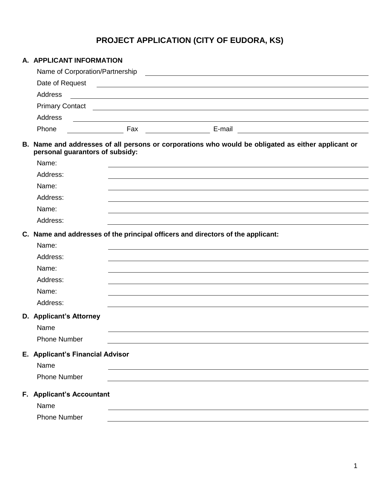# **PROJECT APPLICATION (CITY OF EUDORA, KS)**

| A. APPLICANT INFORMATION                                                                                                                                                                                                           |                                                                                                                            |  |                                                                                                                       |  |
|------------------------------------------------------------------------------------------------------------------------------------------------------------------------------------------------------------------------------------|----------------------------------------------------------------------------------------------------------------------------|--|-----------------------------------------------------------------------------------------------------------------------|--|
| Name of Corporation/Partnership                                                                                                                                                                                                    |                                                                                                                            |  | <u> 1980 - Andrea State Barbara, amerikan personal di sebagai personal di sebagai personal di sebagai personal di</u> |  |
| Date of Request <b>contained contained a set of Request 2.1 and 2.1 and 2.1 and 2.1 and 2.1 and 2.1 and 2.1 and 2.1 and 2.1 and 2.1 and 2.1 and 2.1 and 2.1 and 2.1 and 2.1 and 2.1 and 2.1 and 2.1 and 2.1 and 2.1 and 2.1 an</b> |                                                                                                                            |  |                                                                                                                       |  |
| Address                                                                                                                                                                                                                            | <u> 1989 - Johann Stoff, deutscher Stoffen und der Stoffen und der Stoffen und der Stoffen und der Stoffen und der</u>     |  |                                                                                                                       |  |
|                                                                                                                                                                                                                                    |                                                                                                                            |  |                                                                                                                       |  |
| Address                                                                                                                                                                                                                            | <u>and the contract of the contract of the contract of the contract of the contract of the contract of the contract of</u> |  |                                                                                                                       |  |
| Phone                                                                                                                                                                                                                              |                                                                                                                            |  |                                                                                                                       |  |
| B. Name and addresses of all persons or corporations who would be obligated as either applicant or<br>personal guarantors of subsidy:                                                                                              |                                                                                                                            |  |                                                                                                                       |  |
| Name:                                                                                                                                                                                                                              |                                                                                                                            |  | ,我们也不会有什么。""我们的人,我们也不会有什么?""我们的人,我们也不会有什么?""我们的人,我们也不会有什么?""我们的人,我们也不会有什么?""我们的人                                      |  |
| Address:                                                                                                                                                                                                                           |                                                                                                                            |  |                                                                                                                       |  |
| Name:                                                                                                                                                                                                                              |                                                                                                                            |  |                                                                                                                       |  |
| Address:                                                                                                                                                                                                                           |                                                                                                                            |  |                                                                                                                       |  |
| Name:                                                                                                                                                                                                                              |                                                                                                                            |  |                                                                                                                       |  |
| Address:                                                                                                                                                                                                                           |                                                                                                                            |  |                                                                                                                       |  |
| C. Name and addresses of the principal officers and directors of the applicant:                                                                                                                                                    |                                                                                                                            |  |                                                                                                                       |  |
| Name:                                                                                                                                                                                                                              |                                                                                                                            |  |                                                                                                                       |  |
| Address:                                                                                                                                                                                                                           |                                                                                                                            |  |                                                                                                                       |  |
| Name:                                                                                                                                                                                                                              |                                                                                                                            |  |                                                                                                                       |  |
| Address:                                                                                                                                                                                                                           |                                                                                                                            |  |                                                                                                                       |  |
| Name:                                                                                                                                                                                                                              |                                                                                                                            |  |                                                                                                                       |  |
| Address:                                                                                                                                                                                                                           |                                                                                                                            |  |                                                                                                                       |  |
| D. Applicant's Attorney<br>Name                                                                                                                                                                                                    |                                                                                                                            |  |                                                                                                                       |  |
| <b>Phone Number</b>                                                                                                                                                                                                                |                                                                                                                            |  |                                                                                                                       |  |
| E. Applicant's Financial Advisor<br>Name                                                                                                                                                                                           |                                                                                                                            |  |                                                                                                                       |  |
| <b>Phone Number</b>                                                                                                                                                                                                                |                                                                                                                            |  |                                                                                                                       |  |
|                                                                                                                                                                                                                                    |                                                                                                                            |  |                                                                                                                       |  |
| F. Applicant's Accountant                                                                                                                                                                                                          |                                                                                                                            |  |                                                                                                                       |  |
| Name                                                                                                                                                                                                                               |                                                                                                                            |  |                                                                                                                       |  |
| <b>Phone Number</b>                                                                                                                                                                                                                |                                                                                                                            |  |                                                                                                                       |  |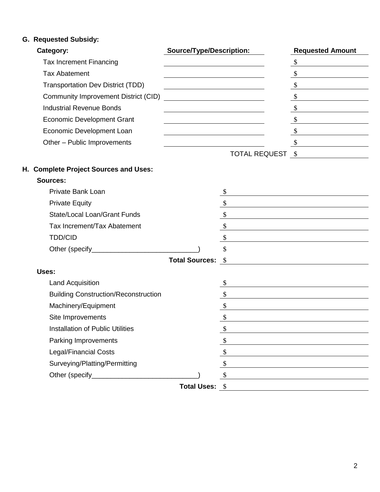## **G. Requested Subsidy:**

| Category:                                | <b>Source/Type/Description:</b> | <b>Requested Amount</b> |
|------------------------------------------|---------------------------------|-------------------------|
| <b>Tax Increment Financing</b>           |                                 |                         |
| <b>Tax Abatement</b>                     |                                 |                         |
| <b>Transportation Dev District (TDD)</b> |                                 |                         |
| Community Improvement District (CID)     |                                 |                         |
| <b>Industrial Revenue Bonds</b>          |                                 |                         |
| <b>Economic Development Grant</b>        |                                 |                         |
| Economic Development Loan                |                                 |                         |
| Other - Public Improvements              |                                 |                         |
|                                          | TOTAL REQUEST \$                |                         |
| H. Complete Project Sources and Uses:    |                                 |                         |

## **Sources:**

| Private Bank Loan            |                          |    |
|------------------------------|--------------------------|----|
| <b>Private Equity</b>        |                          |    |
| State/Local Loan/Grant Funds |                          |    |
| Tax Increment/Tax Abatement  |                          |    |
| <b>TDD/CID</b>               |                          |    |
|                              |                          | \$ |
|                              | <b>Total Sources: \$</b> |    |

| Uses:                                       |    |
|---------------------------------------------|----|
| <b>Land Acquisition</b>                     |    |
| <b>Building Construction/Reconstruction</b> |    |
| Machinery/Equipment                         |    |
| Site Improvements                           |    |
| <b>Installation of Public Utilities</b>     |    |
| Parking Improvements                        |    |
| <b>Legal/Financial Costs</b>                |    |
| Surveying/Platting/Permitting               |    |
| Other (specify _________                    |    |
| <b>Total Uses:</b>                          | -S |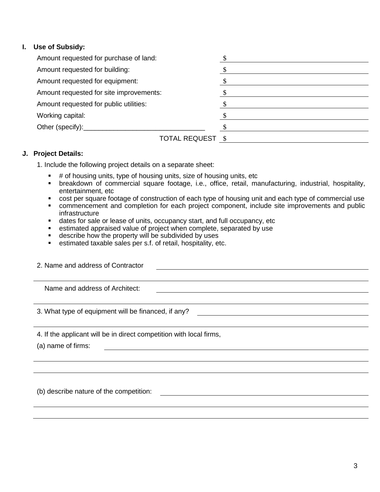### **I. Use of Subsidy:**

| Amount requested for purchase of land:  |  |
|-----------------------------------------|--|
| Amount requested for building:          |  |
| Amount requested for equipment:         |  |
| Amount requested for site improvements: |  |
| Amount requested for public utilities:  |  |
| Working capital:                        |  |
| Other (specify):___________             |  |
| TOTAL REQUEST \$                        |  |

#### **J. Project Details:**

1. Include the following project details on a separate sheet:

- $\blacksquare$  # of housing units, type of housing units, size of housing units, etc
- breakdown of commercial square footage, i.e., office, retail, manufacturing, industrial, hospitality, entertainment, etc
- cost per square footage of construction of each type of housing unit and each type of commercial use
- commencement and completion for each project component, include site improvements and public infrastructure
- dates for sale or lease of units, occupancy start, and full occupancy, etc
- **EXEDENT** estimated appraised value of project when complete, separated by use
- **describe how the property will be subdivided by uses**
- estimated taxable sales per s.f. of retail, hospitality, etc.

2. Name and address of Contractor Name and address of Architect: 3. What type of equipment will be financed, if any? 4. If the applicant will be in direct competition with local firms,

(a) name of firms:

(b) describe nature of the competition: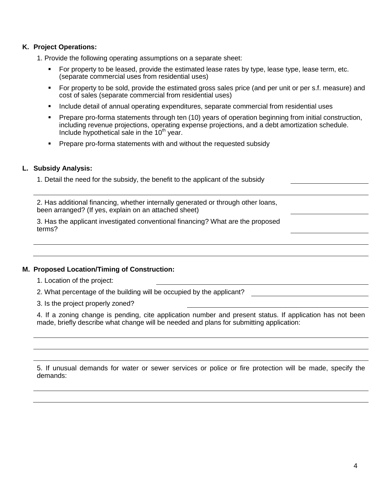#### **K. Project Operations:**

- 1. Provide the following operating assumptions on a separate sheet:
	- For property to be leased, provide the estimated lease rates by type, lease type, lease term, etc. (separate commercial uses from residential uses)
	- For property to be sold, provide the estimated gross sales price (and per unit or per s.f. measure) and cost of sales (separate commercial from residential uses)
	- **Include detail of annual operating expenditures, separate commercial from residential uses**
	- **Prepare pro-forma statements through ten (10) years of operation beginning from initial construction,** including revenue projections, operating expense projections, and a debt amortization schedule. Include hypothetical sale in the  $10<sup>th</sup>$  year.
	- **Prepare pro-forma statements with and without the requested subsidy**

#### **L. Subsidy Analysis:**

1. Detail the need for the subsidy, the benefit to the applicant of the subsidy

2. Has additional financing, whether internally generated or through other loans, been arranged? (If yes, explain on an attached sheet)

3. Has the applicant investigated conventional financing? What are the proposed terms?

#### **M. Proposed Location/Timing of Construction:**

- 1. Location of the project:
- 2. What percentage of the building will be occupied by the applicant?

3. Is the project properly zoned?

4. If a zoning change is pending, cite application number and present status. If application has not been made, briefly describe what change will be needed and plans for submitting application:

5. If unusual demands for water or sewer services or police or fire protection will be made, specify the demands: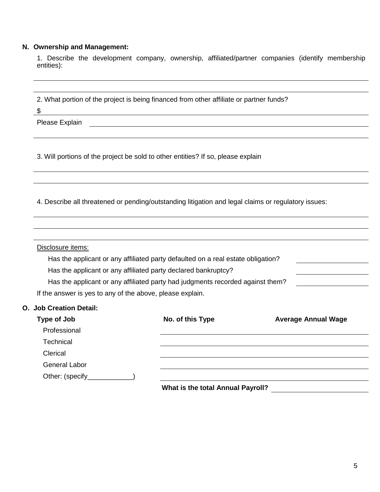## **N. Ownership and Management:**

|            |  |  | 1. Describe the development company, ownership, affiliated/partner companies (identify membership |  |  |
|------------|--|--|---------------------------------------------------------------------------------------------------|--|--|
| entities): |  |  |                                                                                                   |  |  |

| Please Explain<br>3. Will portions of the project be sold to other entities? If so, please explain<br>4. Describe all threatened or pending/outstanding litigation and legal claims or regulatory issues:<br>Disclosure items:<br>Has the applicant or any affiliated party defaulted on a real estate obligation?<br>Has the applicant or any affiliated party declared bankruptcy?<br>Has the applicant or any affiliated party had judgments recorded against them?<br>If the answer is yes to any of the above, please explain.<br>O. Job Creation Detail:<br>Type of Job<br>No. of this Type<br>Professional<br>Technical<br>Clerical<br><b>General Labor</b><br>Other: (specify | \$ | <u> 1989 - Johann Stein, mars an deus Amerikaansk kommunister (</u> |                            |  |  |  |  |  |
|---------------------------------------------------------------------------------------------------------------------------------------------------------------------------------------------------------------------------------------------------------------------------------------------------------------------------------------------------------------------------------------------------------------------------------------------------------------------------------------------------------------------------------------------------------------------------------------------------------------------------------------------------------------------------------------|----|---------------------------------------------------------------------|----------------------------|--|--|--|--|--|
|                                                                                                                                                                                                                                                                                                                                                                                                                                                                                                                                                                                                                                                                                       |    |                                                                     |                            |  |  |  |  |  |
|                                                                                                                                                                                                                                                                                                                                                                                                                                                                                                                                                                                                                                                                                       |    |                                                                     |                            |  |  |  |  |  |
|                                                                                                                                                                                                                                                                                                                                                                                                                                                                                                                                                                                                                                                                                       |    |                                                                     |                            |  |  |  |  |  |
|                                                                                                                                                                                                                                                                                                                                                                                                                                                                                                                                                                                                                                                                                       |    |                                                                     |                            |  |  |  |  |  |
|                                                                                                                                                                                                                                                                                                                                                                                                                                                                                                                                                                                                                                                                                       |    |                                                                     |                            |  |  |  |  |  |
|                                                                                                                                                                                                                                                                                                                                                                                                                                                                                                                                                                                                                                                                                       |    |                                                                     |                            |  |  |  |  |  |
|                                                                                                                                                                                                                                                                                                                                                                                                                                                                                                                                                                                                                                                                                       |    |                                                                     |                            |  |  |  |  |  |
|                                                                                                                                                                                                                                                                                                                                                                                                                                                                                                                                                                                                                                                                                       |    |                                                                     |                            |  |  |  |  |  |
|                                                                                                                                                                                                                                                                                                                                                                                                                                                                                                                                                                                                                                                                                       |    |                                                                     |                            |  |  |  |  |  |
|                                                                                                                                                                                                                                                                                                                                                                                                                                                                                                                                                                                                                                                                                       |    |                                                                     |                            |  |  |  |  |  |
|                                                                                                                                                                                                                                                                                                                                                                                                                                                                                                                                                                                                                                                                                       |    |                                                                     |                            |  |  |  |  |  |
|                                                                                                                                                                                                                                                                                                                                                                                                                                                                                                                                                                                                                                                                                       |    |                                                                     |                            |  |  |  |  |  |
|                                                                                                                                                                                                                                                                                                                                                                                                                                                                                                                                                                                                                                                                                       |    |                                                                     |                            |  |  |  |  |  |
|                                                                                                                                                                                                                                                                                                                                                                                                                                                                                                                                                                                                                                                                                       |    |                                                                     |                            |  |  |  |  |  |
|                                                                                                                                                                                                                                                                                                                                                                                                                                                                                                                                                                                                                                                                                       |    |                                                                     | <b>Average Annual Wage</b> |  |  |  |  |  |
|                                                                                                                                                                                                                                                                                                                                                                                                                                                                                                                                                                                                                                                                                       |    |                                                                     |                            |  |  |  |  |  |
|                                                                                                                                                                                                                                                                                                                                                                                                                                                                                                                                                                                                                                                                                       |    |                                                                     |                            |  |  |  |  |  |
|                                                                                                                                                                                                                                                                                                                                                                                                                                                                                                                                                                                                                                                                                       |    |                                                                     |                            |  |  |  |  |  |
|                                                                                                                                                                                                                                                                                                                                                                                                                                                                                                                                                                                                                                                                                       |    |                                                                     |                            |  |  |  |  |  |
|                                                                                                                                                                                                                                                                                                                                                                                                                                                                                                                                                                                                                                                                                       |    |                                                                     |                            |  |  |  |  |  |